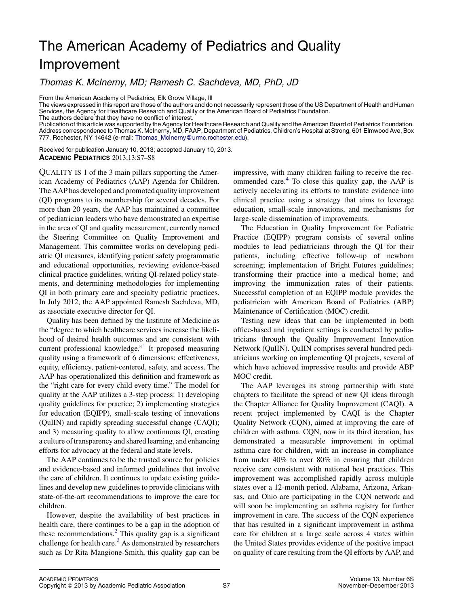## The American Academy of Pediatrics and Quality Improvement

Thomas K. McInerny, MD; Ramesh C. Sachdeva, MD, PhD, JD

From the American Academy of Pediatrics, Elk Grove Village, Ill

The views expressed in this report are those of the authors and do not necessarily represent those of the US Department of Health and Human Services, the Agency for Healthcare Research and Quality or the American Board of Pediatrics Foundation.

The authors declare that they have no conflict of interest.

Publication of this article was supported by the Agency for Healthcare Research and Quality and the American Board of Pediatrics Foundation. Address correspondence to Thomas K. McInerny, MD, FAAP, Department of Pediatrics, Children's Hospital at Strong, 601 Elmwood Ave, Box 777, Rochester, NY 14642 (e-mail: Thomas McInerny@urmc.rochester.edu).

Received for publication January 10, 2013; accepted January 10, 2013. ACADEMIC PEDIATRICS 2013;13:S7–S8

QUALITY IS 1 of the 3 main pillars supporting the American Academy of Pediatrics (AAP) Agenda for Children. The AAP has developed and promoted quality improvement (QI) programs to its membership for several decades. For more than 20 years, the AAP has maintained a committee of pediatrician leaders who have demonstrated an expertise in the area of QI and quality measurement, currently named the Steering Committee on Quality Improvement and Management. This committee works on developing pediatric QI measures, identifying patient safety programmatic and educational opportunities, reviewing evidence-based clinical practice guidelines, writing QI-related policy statements, and determining methodologies for implementing QI in both primary care and specialty pediatric practices. In July 2012, the AAP appointed Ramesh Sachdeva, MD, as associate executive director for QI.

Quality has been defined by the Institute of Medicine as the "degree to which healthcare services increase the likelihood of desired health outcomes and are consistent with current professional knowledge."<sup>1</sup> It proposed measuring quality using a framework of 6 dimensions: effectiveness, equity, efficiency, patient-centered, safety, and access. The AAP has operationalized this definition and framework as the "right care for every child every time." The model for quality at the AAP utilizes a 3-step process: 1) developing quality guidelines for practice; 2) implementing strategies for education (EQIPP), small-scale testing of innovations (QuIIN) and rapidly spreading successful change (CAQI); and 3) measuring quality to allow continuous QI, creating a culture of transparency and shared learning, and enhancing efforts for advocacy at the federal and state levels.

The AAP continues to be the trusted source for policies and evidence-based and informed guidelines that involve the care of children. It continues to update existing guidelines and develop new guidelines to provide clinicians with state-of-the-art recommendations to improve the care for children.

However, despite the availability of best practices in health care, there continues to be a gap in the adoption of these recommendations. $^{2}$  $^{2}$  $^{2}$  This quality gap is a significant challenge for health care. $3$  As demonstrated by researchers such as Dr Rita Mangione-Smith, this quality gap can be

impressive, with many children failing to receive the recommended care.[4](#page-1-0) To close this quality gap, the AAP is actively accelerating its efforts to translate evidence into clinical practice using a strategy that aims to leverage education, small-scale innovations, and mechanisms for large-scale dissemination of improvements.

The Education in Quality Improvement for Pediatric Practice (EQIPP) program consists of several online modules to lead pediatricians through the QI for their patients, including effective follow-up of newborn screening; implementation of Bright Futures guidelines; transforming their practice into a medical home; and improving the immunization rates of their patients. Successful completion of an EQIPP module provides the pediatrician with American Board of Pediatrics (ABP) Maintenance of Certification (MOC) credit.

Testing new ideas that can be implemented in both office-based and inpatient settings is conducted by pediatricians through the Quality Improvement Innovation Network (QuIIN). QuIIN comprises several hundred pediatricians working on implementing QI projects, several of which have achieved impressive results and provide ABP MOC credit.

The AAP leverages its strong partnership with state chapters to facilitate the spread of new QI ideas through the Chapter Alliance for Quality Improvement (CAQI). A recent project implemented by CAQI is the Chapter Quality Network (CQN), aimed at improving the care of children with asthma. CQN, now in its third iteration, has demonstrated a measurable improvement in optimal asthma care for children, with an increase in compliance from under 40% to over 80% in ensuring that children receive care consistent with national best practices. This improvement was accomplished rapidly across multiple states over a 12-month period. Alabama, Arizona, Arkansas, and Ohio are participating in the CQN network and will soon be implementing an asthma registry for further improvement in care. The success of the CQN experience that has resulted in a significant improvement in asthma care for children at a large scale across 4 states within the United States provides evidence of the positive impact on quality of care resulting from the QI efforts by AAP, and